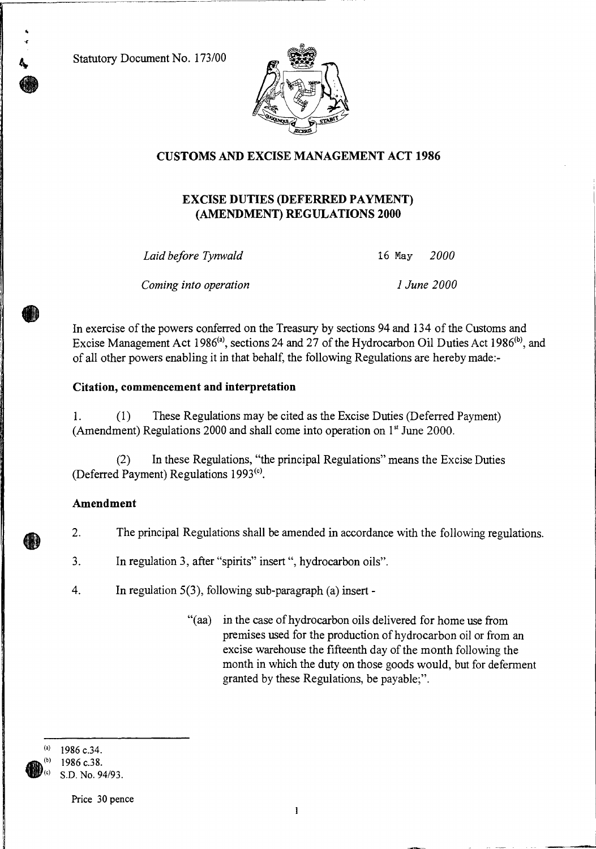Statutory Document No. 173/00



## **CUSTOMS AND EXCISE MANAGEMENT ACT 1986**

### **EXCISE DUTIES (DEFERRED PAYMENT) (AMENDMENT) REGULATIONS 2000**

*Laid before Tynwald 16* May *2000* 

*Coming into operation 1 June 2000* 

In exercise of the powers conferred on the Treasury by sections 94 and 134 of the Customs and Excise Management Act 1986<sup>(a)</sup>, sections 24 and 27 of the Hydrocarbon Oil Duties Act 1986<sup>(b)</sup>, and of all other powers enabling it in that behalf, the following Regulations are hereby made:-

#### **Citation, commencement and interpretation**

1. (1) These Regulations may be cited as the Excise Duties (Deferred Payment) (Amendment) Regulations 2000 and shall come into operation on  $1<sup>st</sup>$  June 2000.

(2) In these Regulations, "the principal Regulations" means the Excise Duties (Deferred Payment) Regulations  $1993<sup>(c)</sup>$ .

#### **Amendment**

2. The principal Regulations shall be amended in accordance with the following regulations.

3. In regulation 3, after "spirits" insert ", hydrocarbon oils".

4. In regulation 5(3), following sub-paragraph (a) insert -

"(aa) in the case of hydrocarbon oils delivered for home use from premises used for the production of hydrocarbon oil or from an excise warehouse the fifteenth day of the month following the month in which the duty on those goods would, but for deferment granted by these Regulations, be payable;".



1986 c.34. 1986 c.38. S.D. No. 94/93.

Price 30 pence